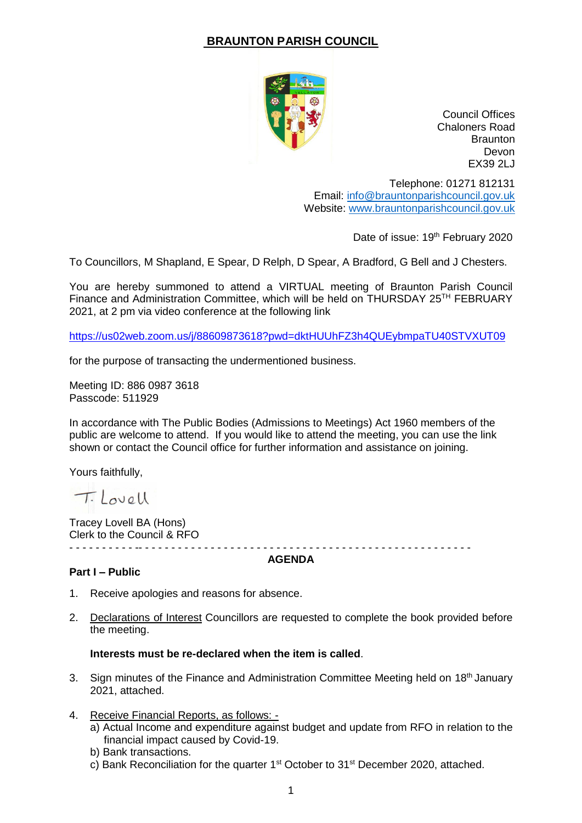## **BRAUNTON PARISH COUNCIL**



Council Offices Chaloners Road **Braunton** Devon EX39 2LJ

Telephone: 01271 812131 Email: [info@brauntonparishcouncil.gov.uk](mailto:info@brauntonparishcouncil.gov.uk) Website: [www.brauntonparishcouncil.gov.uk](http://www.brauntonparishcouncil.gov.uk/)

Date of issue: 19<sup>th</sup> February 2020

To Councillors, M Shapland, E Spear, D Relph, D Spear, A Bradford, G Bell and J Chesters.

You are hereby summoned to attend a VIRTUAL meeting of Braunton Parish Council Finance and Administration Committee, which will be held on THURSDAY 25TH FEBRUARY 2021, at 2 pm via video conference at the following link

<https://us02web.zoom.us/j/88609873618?pwd=dktHUUhFZ3h4QUEybmpaTU40STVXUT09>

for the purpose of transacting the undermentioned business.

Meeting ID: 886 0987 3618 Passcode: 511929

In accordance with The Public Bodies (Admissions to Meetings) Act 1960 members of the public are welcome to attend. If you would like to attend the meeting, you can use the link shown or contact the Council office for further information and assistance on joining.

Yours faithfully,

Tilovell

Tracey Lovell BA (Hons) Clerk to the Council & RFO - - - - - - - - - - -- - - - - - - - - - - - - - - - - - - - - - - - - - - - - - - - - - - - - - - - - - - - - - - - - - -

**AGENDA**

## **Part I – Public**

- 1. Receive apologies and reasons for absence.
- 2. Declarations of Interest Councillors are requested to complete the book provided before the meeting.

## **Interests must be re-declared when the item is called**.

- 3. Sign minutes of the Finance and Administration Committee Meeting held on 18<sup>th</sup> January 2021, attached.
- 4. Receive Financial Reports, as follows:
	- a) Actual Income and expenditure against budget and update from RFO in relation to the financial impact caused by Covid-19.
	- b) Bank transactions.
	- c) Bank Reconciliation for the quarter 1<sup>st</sup> October to 31<sup>st</sup> December 2020, attached.